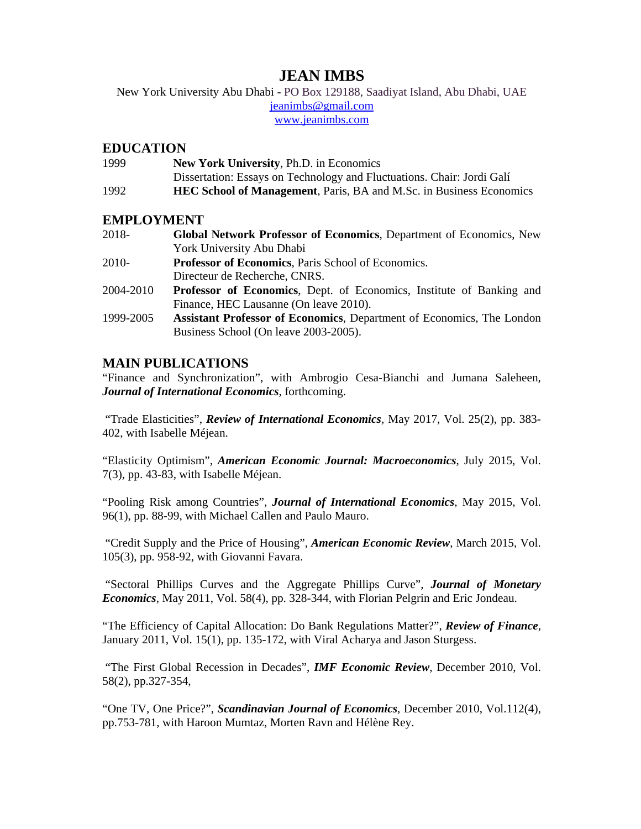# **JEAN IMBS**

 jeanimbs@gmail.com www.jeanimbs.com New York University Abu Dhabi - PO Box 129188, Saadiyat Island, Abu Dhabi, UAE

### **EDUCATION**

| 1999 | <b>New York University, Ph.D. in Economics</b>                             |
|------|----------------------------------------------------------------------------|
|      | Dissertation: Essays on Technology and Fluctuations. Chair: Jordi Galí     |
| 1992 | <b>HEC School of Management, Paris, BA and M.Sc. in Business Economics</b> |

## **EMPLOYMENT**

| 2018-     | <b>Global Network Professor of Economics, Department of Economics, New</b>   |
|-----------|------------------------------------------------------------------------------|
|           | York University Abu Dhabi                                                    |
| 2010-     | Professor of Economics, Paris School of Economics.                           |
|           | Directeur de Recherche, CNRS.                                                |
| 2004-2010 | <b>Professor of Economics</b> , Dept. of Economics, Institute of Banking and |
|           | Finance, HEC Lausanne (On leave 2010).                                       |
| 1999-2005 | <b>Assistant Professor of Economics, Department of Economics, The London</b> |
|           | Business School (On leave 2003-2005).                                        |

# **MAIN PUBLICATIONS**

"Finance and Synchronization", with Ambrogio Cesa-Bianchi and Jumana Saleheen, *Journal of International Economics*, forthcoming.

402, with Isabelle Méjean. "Trade Elasticities", *Review of International Economics*, May 2017, Vol. 25(2), pp. 383-

"Elasticity Optimism", *American Economic Journal: Macroeconomics*, July 2015, Vol. 7(3), pp. 43-83, with Isabelle Méjean.

"Pooling Risk among Countries", *Journal of International Economics*, May 2015, Vol. 96(1), pp. 88-99, with Michael Callen and Paulo Mauro.

"Credit Supply and the Price of Housing", *American Economic Review*, March 2015, Vol. 105(3), pp. 958-92, with Giovanni Favara.

"Sectoral Phillips Curves and the Aggregate Phillips Curve", *Journal of Monetary Economics*, May 2011, Vol. 58(4), pp. 328-344, with Florian Pelgrin and Eric Jondeau.

"The Efficiency of Capital Allocation: Do Bank Regulations Matter?", *Review of Finance*, January 2011, Vol. 15(1), pp. 135-172, with Viral Acharya and Jason Sturgess.

"The First Global Recession in Decades", *IMF Economic Review*, December 2010, Vol. 58(2), pp.327-354,

"One TV, One Price?", *Scandinavian Journal of Economics*, December 2010, Vol.112(4), pp.753-781, with Haroon Mumtaz, Morten Ravn and Hélène Rey.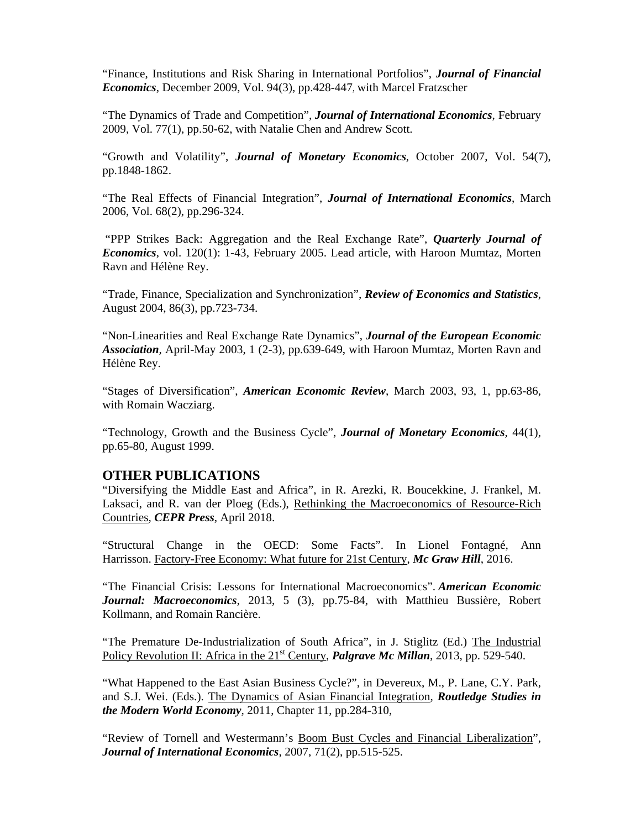"Finance, Institutions and Risk Sharing in International Portfolios", *Journal of Financial Economics*, December 2009, Vol. 94(3), pp.428-447, with Marcel Fratzscher

"The Dynamics of Trade and Competition", *Journal of International Economics*, February 2009, Vol. 77(1), pp.50-62, with Natalie Chen and Andrew Scott.

"Growth and Volatility", *Journal of Monetary Economics*, October 2007, Vol. 54(7), pp.1848-1862.

"The Real Effects of Financial Integration", *Journal of International Economics*, March 2006, Vol. 68(2), pp.296-324.

"PPP Strikes Back: Aggregation and the Real Exchange Rate", *Quarterly Journal of Economics*, vol. 120(1): 1-43, February 2005. Lead article, with Haroon Mumtaz, Morten Ravn and Hélène Rey.

"Trade, Finance, Specialization and Synchronization", *Review of Economics and Statistics*, August 2004, 86(3), pp.723-734.

"Non-Linearities and Real Exchange Rate Dynamics", *Journal of the European Economic Association,* April-May 2003, 1 (2-3), pp.639-649, with Haroon Mumtaz, Morten Ravn and Hélène Rey.

"Stages of Diversification", *American Economic Review*, March 2003, 93, 1, pp.63-86, with Romain Wacziarg.

"Technology, Growth and the Business Cycle", *Journal of Monetary Economics*, 44(1), pp.65-80, August 1999.

#### **OTHER PUBLICATIONS**

"Diversifying the Middle East and Africa", in R. Arezki, R. Boucekkine, J. Frankel, M. Laksaci, and R. van der Ploeg (Eds.), Rethinking the Macroeconomics of Resource-Rich Countries, *CEPR Press*, April 2018.

"Structural Change in the OECD: Some Facts". In Lionel Fontagné, Ann Harrisson. Factory-Free Economy: What future for 21st Century, *Mc Graw Hill*, 2016.

"The Financial Crisis: Lessons for International Macroeconomics". *American Economic Journal: Macroeconomics*, 2013, 5 (3), pp.75-84, with Matthieu Bussière, Robert Kollmann, and Romain Rancière.

"The Premature De-Industrialization of South Africa", in J. Stiglitz (Ed.) The Industrial Policy Revolution II: Africa in the 21<sup>st</sup> Century, *Palgrave Mc Millan*, 2013, pp. 529-540.

"What Happened to the East Asian Business Cycle?", in Devereux, M., P. Lane, C.Y. Park, and S.J. Wei. (Eds.). The Dynamics of Asian Financial Integration, *Routledge Studies in the Modern World Economy*, 2011, Chapter 11, pp.284-310,

"Review of Tornell and Westermann's Boom Bust Cycles and Financial Liberalization", *Journal of International Economics*, 2007, 71(2), pp.515-525.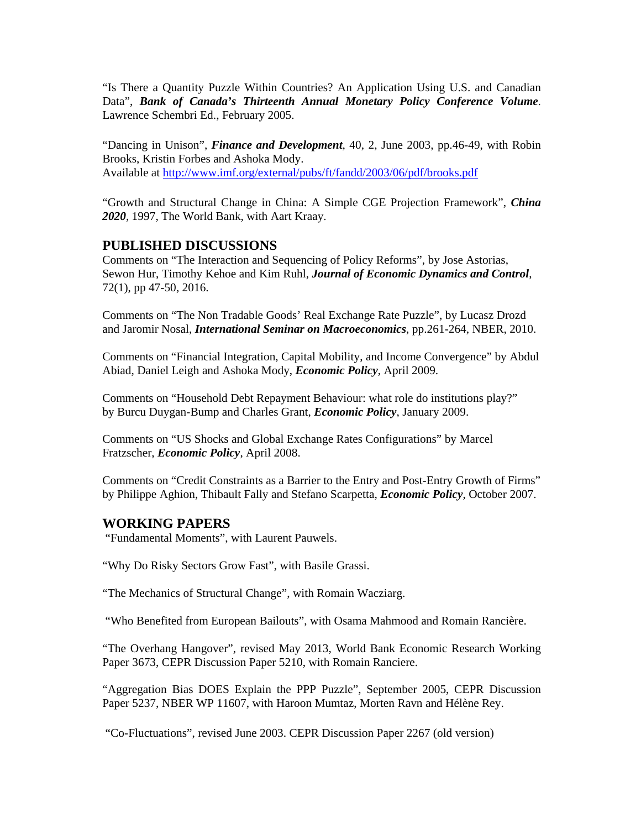"Is There a Quantity Puzzle Within Countries? An Application Using U.S. and Canadian Data", *Bank of Canada's Thirteenth Annual Monetary Policy Conference Volume*. Lawrence Schembri Ed., February 2005.

Available at http://www.imf.org/external/pubs/ft/fandd/2003/06/pdf/brooks.pdf "Dancing in Unison", *Finance and Development*, 40, 2, June 2003, pp.46-49, with Robin Brooks, Kristin Forbes and Ashoka Mody.

"Growth and Structural Change in China: A Simple CGE Projection Framework", *China 2020*, 1997, The World Bank, with Aart Kraay.

#### **PUBLISHED DISCUSSIONS**

Comments on "The Interaction and Sequencing of Policy Reforms", by Jose Astorias, Sewon Hur, Timothy Kehoe and Kim Ruhl, *Journal of Economic Dynamics and Control*, 72(1), pp 47-50, 2016.

Comments on "The Non Tradable Goods' Real Exchange Rate Puzzle", by Lucasz Drozd and Jaromir Nosal, *International Seminar on Macroeconomics*, pp.261-264, NBER, 2010.

Comments on "Financial Integration, Capital Mobility, and Income Convergence" by Abdul Abiad, Daniel Leigh and Ashoka Mody, *Economic Policy*, April 2009.

Comments on "Household Debt Repayment Behaviour: what role do institutions play?" by Burcu Duygan-Bump and Charles Grant, *Economic Policy*, January 2009.

Comments on "US Shocks and Global Exchange Rates Configurations" by Marcel Fratzscher, *Economic Policy*, April 2008.

Comments on "Credit Constraints as a Barrier to the Entry and Post-Entry Growth of Firms" by Philippe Aghion, Thibault Fally and Stefano Scarpetta, *Economic Policy*, October 2007.

#### **WORKING PAPERS**

"Fundamental Moments", with Laurent Pauwels.

"Why Do Risky Sectors Grow Fast", with Basile Grassi.

"The Mechanics of Structural Change", with Romain Wacziarg.

"Who Benefited from European Bailouts", with Osama Mahmood and Romain Rancière.

"The Overhang Hangover", revised May 2013, World Bank Economic Research Working Paper 3673, CEPR Discussion Paper 5210, with Romain Ranciere.

"Aggregation Bias DOES Explain the PPP Puzzle", September 2005, CEPR Discussion Paper 5237, NBER WP 11607, with Haroon Mumtaz, Morten Ravn and Hélène Rey.

"Co-Fluctuations", revised June 2003. CEPR Discussion Paper 2267 (old version)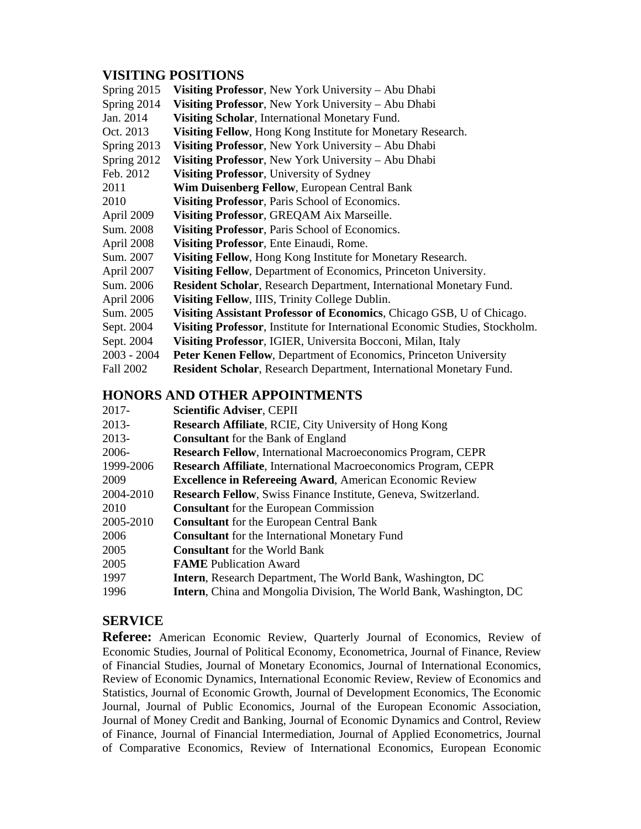# **VISITING POSITIONS**

| Spring 2015      | Visiting Professor, New York University – Abu Dhabi                          |
|------------------|------------------------------------------------------------------------------|
| Spring 2014      | Visiting Professor, New York University - Abu Dhabi                          |
| Jan. 2014        | Visiting Scholar, International Monetary Fund.                               |
| Oct. 2013        | Visiting Fellow, Hong Kong Institute for Monetary Research.                  |
| Spring 2013      | Visiting Professor, New York University – Abu Dhabi                          |
| Spring 2012      | Visiting Professor, New York University – Abu Dhabi                          |
| Feb. 2012        | Visiting Professor, University of Sydney                                     |
| 2011             | Wim Duisenberg Fellow, European Central Bank                                 |
| 2010             | Visiting Professor, Paris School of Economics.                               |
| April 2009       | Visiting Professor, GREQAM Aix Marseille.                                    |
| Sum. 2008        | Visiting Professor, Paris School of Economics.                               |
| April 2008       | Visiting Professor, Ente Einaudi, Rome.                                      |
| Sum. 2007        | Visiting Fellow, Hong Kong Institute for Monetary Research.                  |
| April 2007       | Visiting Fellow, Department of Economics, Princeton University.              |
| Sum. 2006        | <b>Resident Scholar, Research Department, International Monetary Fund.</b>   |
| April 2006       | Visiting Fellow, IIIS, Trinity College Dublin.                               |
| Sum. 2005        | Visiting Assistant Professor of Economics, Chicago GSB, U of Chicago.        |
| Sept. 2004       | Visiting Professor, Institute for International Economic Studies, Stockholm. |
| Sept. 2004       | Visiting Professor, IGIER, Universita Bocconi, Milan, Italy                  |
| $2003 - 2004$    | Peter Kenen Fellow, Department of Economics, Princeton University            |
| <b>Fall 2002</b> | <b>Resident Scholar, Research Department, International Monetary Fund.</b>   |

# **HONORS AND OTHER APPOINTMENTS**

| Scientific Adviser, CEPII                                                   |
|-----------------------------------------------------------------------------|
| <b>Research Affiliate, RCIE, City University of Hong Kong</b>               |
| <b>Consultant</b> for the Bank of England                                   |
| <b>Research Fellow, International Macroeconomics Program, CEPR</b>          |
| <b>Research Affiliate, International Macroeconomics Program, CEPR</b>       |
| <b>Excellence in Refereeing Award, American Economic Review</b>             |
| <b>Research Fellow, Swiss Finance Institute, Geneva, Switzerland.</b>       |
| <b>Consultant</b> for the European Commission                               |
| <b>Consultant</b> for the European Central Bank                             |
| <b>Consultant</b> for the International Monetary Fund                       |
| <b>Consultant</b> for the World Bank                                        |
| <b>FAME</b> Publication Award                                               |
| <b>Intern</b> , Research Department, The World Bank, Washington, DC         |
| <b>Intern</b> , China and Mongolia Division, The World Bank, Washington, DC |
|                                                                             |

# **SERVICE**

**Referee:** American Economic Review, Quarterly Journal of Economics, Review of Economic Studies, Journal of Political Economy, Econometrica, Journal of Finance, Review of Financial Studies, Journal of Monetary Economics, Journal of International Economics, Review of Economic Dynamics, International Economic Review, Review of Economics and Statistics, Journal of Economic Growth, Journal of Development Economics, The Economic Journal, Journal of Public Economics, Journal of the European Economic Association, Journal of Money Credit and Banking, Journal of Economic Dynamics and Control, Review of Finance, Journal of Financial Intermediation, Journal of Applied Econometrics, Journal of Comparative Economics, Review of International Economics, European Economic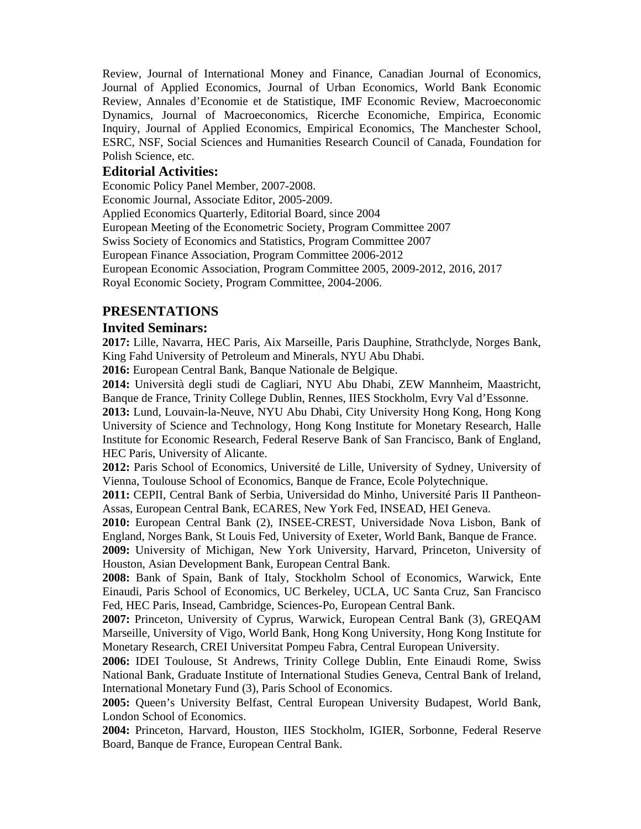Review, Journal of International Money and Finance, Canadian Journal of Economics, Journal of Applied Economics, Journal of Urban Economics, World Bank Economic Review, Annales d'Economie et de Statistique, IMF Economic Review, Macroeconomic Dynamics, Journal of Macroeconomics, Ricerche Economiche, Empirica, Economic Inquiry, Journal of Applied Economics, Empirical Economics, The Manchester School, ESRC, NSF, Social Sciences and Humanities Research Council of Canada, Foundation for Polish Science, etc.

#### **Editorial Activities:**

Economic Policy Panel Member, 2007-2008. Economic Journal, Associate Editor, 2005-2009. Applied Economics Quarterly, Editorial Board, since 2004 European Meeting of the Econometric Society, Program Committee 2007 Swiss Society of Economics and Statistics, Program Committee 2007 European Finance Association, Program Committee 2006-2012 European Economic Association, Program Committee 2005, 2009-2012, 2016, 2017 Royal Economic Society, Program Committee, 2004-2006.

## **PRESENTATIONS**

#### **Invited Seminars:**

**2017:** Lille, Navarra, HEC Paris, Aix Marseille, Paris Dauphine, Strathclyde, Norges Bank, King Fahd University of Petroleum and Minerals, NYU Abu Dhabi.

**2016:** European Central Bank, Banque Nationale de Belgique.

**2014:** Università degli studi de Cagliari, NYU Abu Dhabi, ZEW Mannheim, Maastricht, Banque de France, Trinity College Dublin, Rennes, IIES Stockholm, Evry Val d'Essonne.

**2013:** Lund, Louvain-la-Neuve, NYU Abu Dhabi, City University Hong Kong, Hong Kong University of Science and Technology, Hong Kong Institute for Monetary Research, Halle Institute for Economic Research, Federal Reserve Bank of San Francisco, Bank of England, HEC Paris, University of Alicante.

**2012:** Paris School of Economics, Université de Lille, University of Sydney, University of Vienna, Toulouse School of Economics, Banque de France, Ecole Polytechnique.

**2011:** CEPII, Central Bank of Serbia, Universidad do Minho, Université Paris II Pantheon-Assas, European Central Bank, ECARES, New York Fed, INSEAD, HEI Geneva.

**2010:** European Central Bank (2), INSEE-CREST, Universidade Nova Lisbon, Bank of England, Norges Bank, St Louis Fed, University of Exeter, World Bank, Banque de France.

**2009:** University of Michigan, New York University, Harvard, Princeton, University of Houston, Asian Development Bank, European Central Bank.

**2008:** Bank of Spain, Bank of Italy, Stockholm School of Economics, Warwick, Ente Einaudi, Paris School of Economics, UC Berkeley, UCLA, UC Santa Cruz, San Francisco Fed, HEC Paris, Insead, Cambridge, Sciences-Po, European Central Bank.

**2007:** Princeton, University of Cyprus, Warwick, European Central Bank (3), GREQAM Marseille, University of Vigo, World Bank, Hong Kong University, Hong Kong Institute for Monetary Research, CREI Universitat Pompeu Fabra, Central European University.

**2006:** IDEI Toulouse, St Andrews, Trinity College Dublin, Ente Einaudi Rome, Swiss National Bank, Graduate Institute of International Studies Geneva, Central Bank of Ireland, International Monetary Fund (3), Paris School of Economics.

**2005:** Queen's University Belfast, Central European University Budapest, World Bank, London School of Economics.

**2004:** Princeton, Harvard, Houston, IIES Stockholm, IGIER, Sorbonne, Federal Reserve Board, Banque de France, European Central Bank.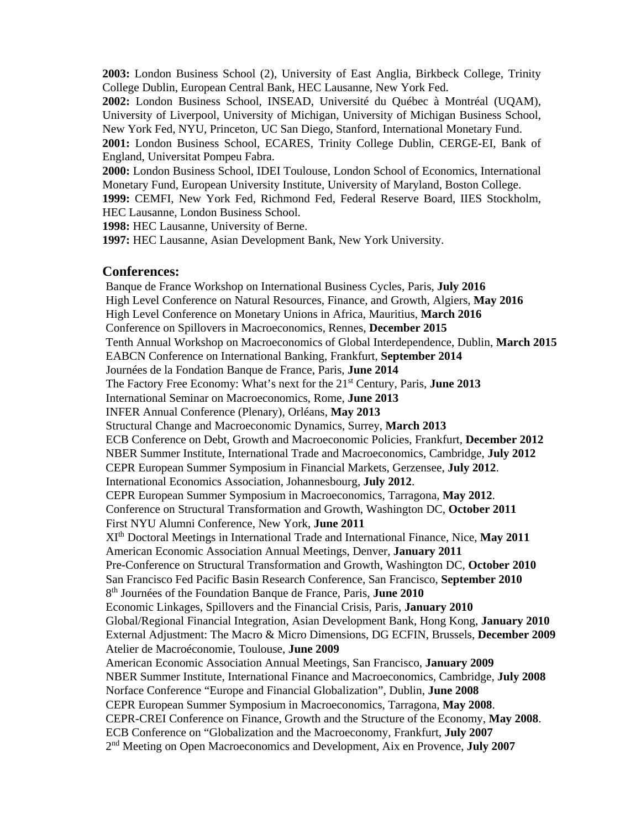**2003:** London Business School (2), University of East Anglia, Birkbeck College, Trinity College Dublin, European Central Bank, HEC Lausanne, New York Fed.

**2002:** London Business School, INSEAD, Université du Québec à Montréal (UQAM), University of Liverpool, University of Michigan, University of Michigan Business School, New York Fed, NYU, Princeton, UC San Diego, Stanford, International Monetary Fund.

**2001:** London Business School, ECARES, Trinity College Dublin, CERGE-EI, Bank of England, Universitat Pompeu Fabra.

**2000:** London Business School, IDEI Toulouse, London School of Economics, International Monetary Fund, European University Institute, University of Maryland, Boston College.

**1999:** CEMFI, New York Fed, Richmond Fed, Federal Reserve Board, IIES Stockholm, HEC Lausanne, London Business School.

**1998:** HEC Lausanne, University of Berne.

**1997:** HEC Lausanne, Asian Development Bank, New York University.

#### **Conferences:**

 Banque de France Workshop on International Business Cycles, Paris, **July 2016**  Global/Regional Financial Integration, Asian Development Bank, Hong Kong, **January 2010** High Level Conference on Natural Resources, Finance, and Growth, Algiers, **May 2016**  High Level Conference on Monetary Unions in Africa, Mauritius, **March 2016**  Conference on Spillovers in Macroeconomics, Rennes, **December 2015**  Tenth Annual Workshop on Macroeconomics of Global Interdependence, Dublin, **March 2015**  EABCN Conference on International Banking, Frankfurt, **September 2014**  Journées de la Fondation Banque de France, Paris, **June 2014**  The Factory Free Economy: What's next for the 21st Century, Paris, **June 2013**  International Seminar on Macroeconomics, Rome, **June 2013**  INFER Annual Conference (Plenary), Orléans, **May 2013**  Structural Change and Macroeconomic Dynamics, Surrey, **March 2013**  ECB Conference on Debt, Growth and Macroeconomic Policies, Frankfurt, **December 2012**  NBER Summer Institute, International Trade and Macroeconomics, Cambridge, **July 2012**  CEPR European Summer Symposium in Financial Markets, Gerzensee, **July 2012**. International Economics Association, Johannesbourg, **July 2012**. CEPR European Summer Symposium in Macroeconomics, Tarragona, **May 2012**. Conference on Structural Transformation and Growth, Washington DC, **October 2011**  First NYU Alumni Conference, New York, **June 2011**  XIth Doctoral Meetings in International Trade and International Finance, Nice, **May 2011**  American Economic Association Annual Meetings, Denver, **January 2011**  Pre-Conference on Structural Transformation and Growth, Washington DC, **October 2010**  San Francisco Fed Pacific Basin Research Conference, San Francisco, **September 2010**  8th Journées of the Foundation Banque de France, Paris, **June 2010**  Economic Linkages, Spillovers and the Financial Crisis, Paris, **January 2010**  External Adjustment: The Macro & Micro Dimensions, DG ECFIN, Brussels, **December 2009**  Atelier de Macroéconomie, Toulouse, **June 2009**  American Economic Association Annual Meetings, San Francisco, **January 2009**  NBER Summer Institute, International Finance and Macroeconomics, Cambridge, **July 2008**  Norface Conference "Europe and Financial Globalization", Dublin, **June 2008**  CEPR European Summer Symposium in Macroeconomics, Tarragona, **May 2008**. CEPR-CREI Conference on Finance, Growth and the Structure of the Economy, **May 2008**. ECB Conference on "Globalization and the Macroeconomy, Frankfurt, **July 2007**  2nd Meeting on Open Macroeconomics and Development, Aix en Provence, **July 2007**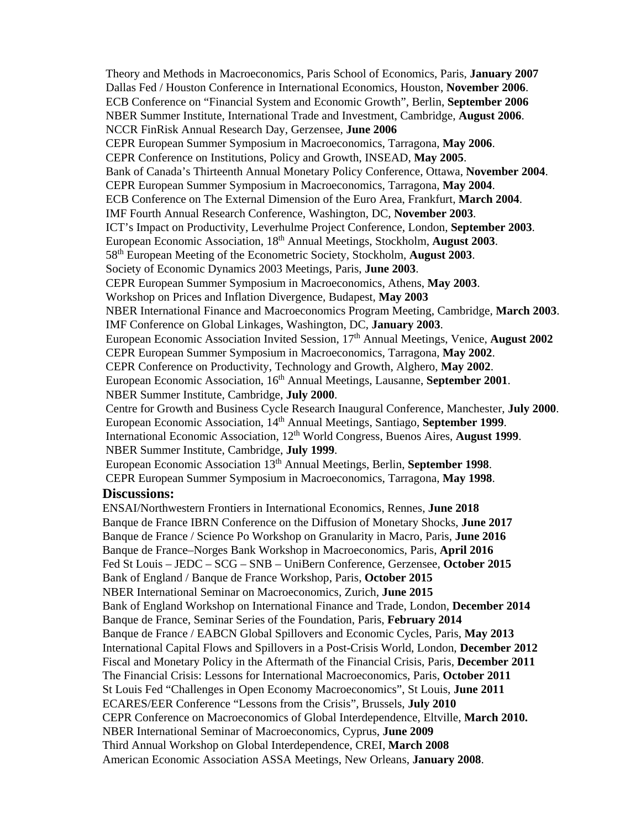NBER International Seminar on Macroeconomics, Zurich, **June 2015** Theory and Methods in Macroeconomics, Paris School of Economics, Paris, **January 2007**  Dallas Fed / Houston Conference in International Economics, Houston, **November 2006**. ECB Conference on "Financial System and Economic Growth", Berlin, **September 2006**  NBER Summer Institute, International Trade and Investment, Cambridge, **August 2006**. NCCR FinRisk Annual Research Day, Gerzensee, **June 2006**  CEPR European Summer Symposium in Macroeconomics, Tarragona, **May 2006**. CEPR Conference on Institutions, Policy and Growth, INSEAD, **May 2005**. Bank of Canada's Thirteenth Annual Monetary Policy Conference, Ottawa, **November 2004**. CEPR European Summer Symposium in Macroeconomics, Tarragona, **May 2004**. ECB Conference on The External Dimension of the Euro Area, Frankfurt, **March 2004**. IMF Fourth Annual Research Conference, Washington, DC, **November 2003**. ICT's Impact on Productivity, Leverhulme Project Conference, London, **September 2003**. European Economic Association, 18th Annual Meetings, Stockholm, **August 2003**. 58th European Meeting of the Econometric Society, Stockholm, **August 2003**. Society of Economic Dynamics 2003 Meetings, Paris, **June 2003**. CEPR European Summer Symposium in Macroeconomics, Athens, **May 2003**. Workshop on Prices and Inflation Divergence, Budapest, **May 2003**  NBER International Finance and Macroeconomics Program Meeting, Cambridge, **March 2003**. IMF Conference on Global Linkages, Washington, DC, **January 2003**. European Economic Association Invited Session, 17<sup>th</sup> Annual Meetings, Venice, **August 2002** CEPR European Summer Symposium in Macroeconomics, Tarragona, **May 2002**. CEPR Conference on Productivity, Technology and Growth, Alghero, **May 2002**. European Economic Association, 16<sup>th</sup> Annual Meetings, Lausanne, **September 2001**. NBER Summer Institute, Cambridge, **July 2000**. Centre for Growth and Business Cycle Research Inaugural Conference, Manchester, **July 2000**. European Economic Association, 14th Annual Meetings, Santiago, **September 1999**. International Economic Association, 12<sup>th</sup> World Congress, Buenos Aires, **August 1999**. NBER Summer Institute, Cambridge, **July 1999**. European Economic Association 13th Annual Meetings, Berlin, **September 1998**. CEPR European Summer Symposium in Macroeconomics, Tarragona, **May 1998**. **Discussions:**  ENSAI/Northwestern Frontiers in International Economics, Rennes, **June 2018**  Banque de France IBRN Conference on the Diffusion of Monetary Shocks, **June 2017**  Banque de France / Science Po Workshop on Granularity in Macro, Paris, **June 2016**  Banque de France–Norges Bank Workshop in Macroeconomics, Paris, **April 2016**  Fed St Louis – JEDC – SCG – SNB – UniBern Conference, Gerzensee, **October 2015**  Bank of England / Banque de France Workshop, Paris, **October 2015** 

Bank of England Workshop on International Finance and Trade, London, **December 2014**  Banque de France, Seminar Series of the Foundation, Paris, **February 2014** 

Banque de France / EABCN Global Spillovers and Economic Cycles, Paris, **May 2013**  International Capital Flows and Spillovers in a Post-Crisis World, London, **December 2012** 

Fiscal and Monetary Policy in the Aftermath of the Financial Crisis, Paris, **December 2011** 

The Financial Crisis: Lessons for International Macroeconomics, Paris, **October 2011** 

St Louis Fed "Challenges in Open Economy Macroeconomics", St Louis, **June 2011** 

ECARES/EER Conference "Lessons from the Crisis", Brussels, **July 2010** 

CEPR Conference on Macroeconomics of Global Interdependence, Eltville, **March 2010.** 

NBER International Seminar of Macroeconomics, Cyprus, **June 2009** 

Third Annual Workshop on Global Interdependence, CREI, **March 2008**  American Economic Association ASSA Meetings, New Orleans, **January 2008**.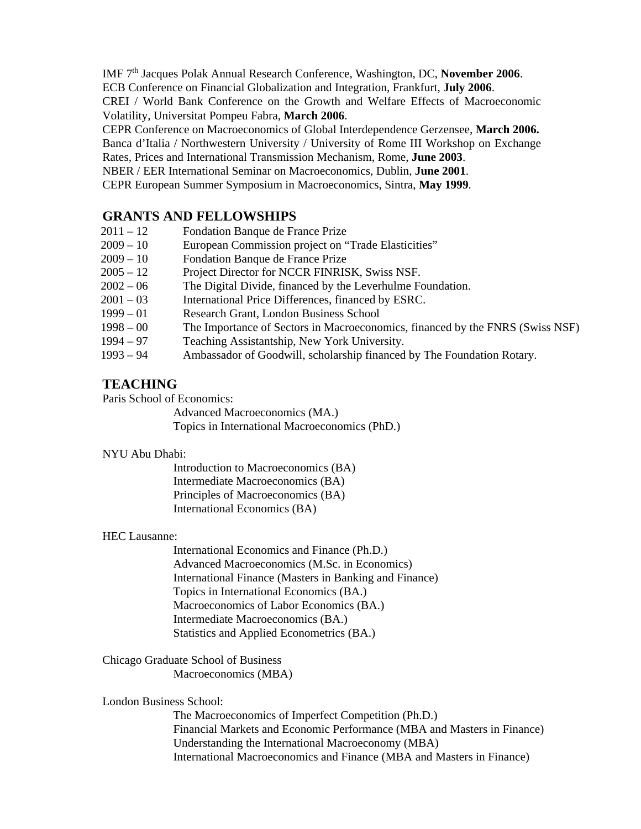IMF 7th Jacques Polak Annual Research Conference, Washington, DC, **November 2006**.

ECB Conference on Financial Globalization and Integration, Frankfurt, **July 2006**.

CREI / World Bank Conference on the Growth and Welfare Effects of Macroeconomic Volatility, Universitat Pompeu Fabra, **March 2006**.

CEPR Conference on Macroeconomics of Global Interdependence Gerzensee, **March 2006.** 

Banca d'Italia / Northwestern University / University of Rome III Workshop on Exchange

Rates, Prices and International Transmission Mechanism, Rome, **June 2003**.

NBER / EER International Seminar on Macroeconomics, Dublin, **June 2001**.

CEPR European Summer Symposium in Macroeconomics, Sintra, **May 1999**.

# **GRANTS AND FELLOWSHIPS**

- 2011 12 Fondation Banque de France Prize
- 2009 10 European Commission project on "Trade Elasticities"
- 2009 10 Fondation Banque de France Prize
- 2005 12 Project Director for NCCR FINRISK, Swiss NSF.
- 2002 06 The Digital Divide, financed by the Leverhulme Foundation.
- 2001 03 International Price Differences, financed by ESRC.
- 1999 01 Research Grant, London Business School
- 1998 00 The Importance of Sectors in Macroeconomics, financed by the FNRS (Swiss NSF)
- 1994 97 Teaching Assistantship, New York University.
- 1993 94 Ambassador of Goodwill, scholarship financed by The Foundation Rotary.

# **TEACHING**

Paris School of Economics:

Advanced Macroeconomics (MA.)

Topics in International Macroeconomics (PhD.)

#### NYU Abu Dhabi:

Introduction to Macroeconomics (BA) Intermediate Macroeconomics (BA) Principles of Macroeconomics (BA) International Economics (BA)

#### HEC Lausanne:

International Economics and Finance (Ph.D.) Advanced Macroeconomics (M.Sc. in Economics) International Finance (Masters in Banking and Finance) Topics in International Economics (BA.) Macroeconomics of Labor Economics (BA.) Intermediate Macroeconomics (BA.) Statistics and Applied Econometrics (BA.)

Chicago Graduate School of Business Macroeconomics (MBA)

#### London Business School:

The Macroeconomics of Imperfect Competition (Ph.D.) Financial Markets and Economic Performance (MBA and Masters in Finance) Understanding the International Macroeconomy (MBA) International Macroeconomics and Finance (MBA and Masters in Finance)